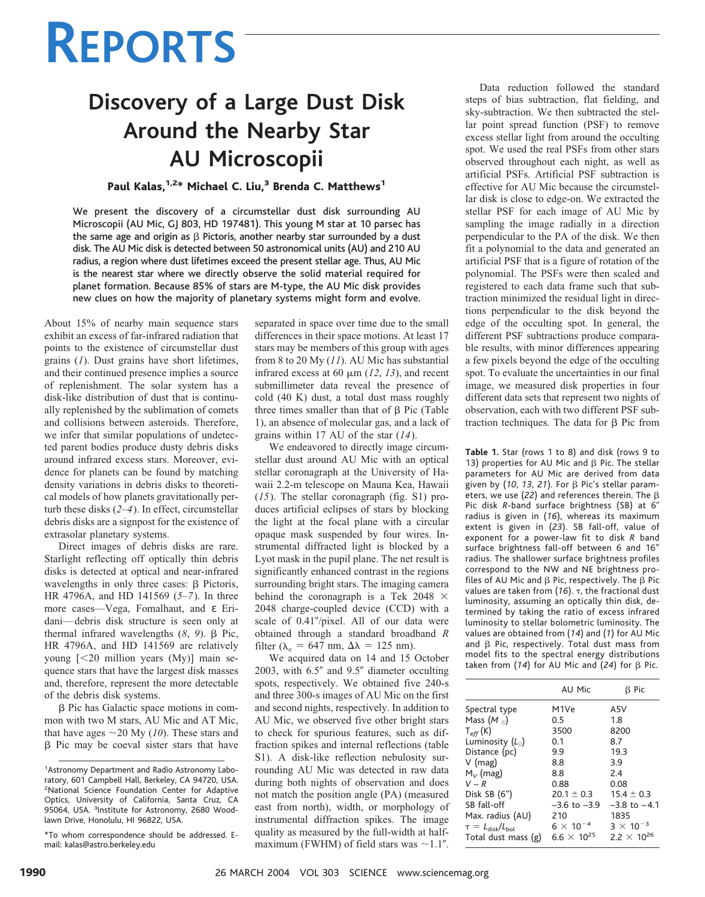# **REPORTS**

# **Discovery of a Large Dust Disk Around the Nearby Star AU Microscopii**

### Paul Kalas,  $1.2*$  Michael C. Liu,<sup>3</sup> Brenda C. Matthews<sup>1</sup>

We present the discovery of a circumstellar dust disk surrounding AU Microscopii (AU Mic, GJ 803, HD 197481). This young M star at 10 parsec has the same age and origin as  $\beta$  Pictoris, another nearby star surrounded by a dust disk. The AU Mic disk is detected between 50 astronomical units (AU) and 210 AU radius, a region where dust lifetimes exceed the present stellar age. Thus, AU Mic is the nearest star where we directly observe the solid material required for planet formation. Because 85% of stars are M-type, the AU Mic disk provides new clues on how the majority of planetary systems might form and evolve.

About 15% of nearby main sequence stars exhibit an excess of far-infrared radiation that points to the existence of circumstellar dust grains (*1*). Dust grains have short lifetimes, and their continued presence implies a source of replenishment. The solar system has a disk-like distribution of dust that is continually replenished by the sublimation of comets and collisions between asteroids. Therefore, we infer that similar populations of undetected parent bodies produce dusty debris disks around infrared excess stars. Moreover, evidence for planets can be found by matching density variations in debris disks to theoretical models of how planets gravitationally perturb these disks (*2*–*4*). In effect, circumstellar debris disks are a signpost for the existence of extrasolar planetary systems.

Direct images of debris disks are rare. Starlight reflecting off optically thin debris disks is detected at optical and near-infrared wavelengths in only three cases:  $\beta$  Pictoris, HR 4796A, and HD 141569 (*5*–*7*). In three more cases—Vega, Fomalhaut, and ε Eridani—debris disk structure is seen only at thermal infrared wavelengths  $(8, 9)$ .  $\beta$  Pic, HR 4796A, and HD 141569 are relatively young [-20 million years (My)] main sequence stars that have the largest disk masses and, therefore, represent the more detectable of the debris disk systems.

β Pic has Galactic space motions in common with two M stars, AU Mic and AT Mic, that have ages  $\sim$  20 My (*10*). These stars and  $\beta$  Pic may be coeval sister stars that have separated in space over time due to the small differences in their space motions. At least 17 stars may be members of this group with ages from 8 to 20 My (*11*). AU Mic has substantial infrared excess at 60  $\mu$ m (12, 13), and recent submillimeter data reveal the presence of cold (40 K) dust, a total dust mass roughly three times smaller than that of  $\beta$  Pic (Table 1), an absence of molecular gas, and a lack of grains within 17 AU of the star (*14*).

We endeavored to directly image circumstellar dust around AU Mic with an optical stellar coronagraph at the University of Hawaii 2.2-m telescope on Mauna Kea, Hawaii (*15*). The stellar coronagraph (fig. S1) produces artificial eclipses of stars by blocking the light at the focal plane with a circular opaque mask suspended by four wires. Instrumental diffracted light is blocked by a Lyot mask in the pupil plane. The net result is significantly enhanced contrast in the regions surrounding bright stars. The imaging camera behind the coronagraph is a Tek 2048  $\times$ 2048 charge-coupled device (CCD) with a scale of 0.41"/pixel. All of our data were obtained through a standard broadband *R* filter ( $\lambda_c = 647$  nm,  $\Delta\lambda = 125$  nm).

We acquired data on 14 and 15 October 2003, with  $6.5''$  and  $9.5''$  diameter occulting spots, respectively. We obtained five 240-s and three 300-s images of AU Mic on the first and second nights, respectively. In addition to AU Mic, we observed five other bright stars to check for spurious features, such as diffraction spikes and internal reflections (table S1). A disk-like reflection nebulosity surrounding AU Mic was detected in raw data during both nights of observation and does not match the position angle (PA) (measured east from north), width, or morphology of instrumental diffraction spikes. The image quality as measured by the full-width at halfmaximum (FWHM) of field stars was  $\sim$ 1.1".

Data reduction followed the standard steps of bias subtraction, flat fielding, and sky-subtraction. We then subtracted the stellar point spread function (PSF) to remove excess stellar light from around the occulting spot. We used the real PSFs from other stars observed throughout each night, as well as artificial PSFs. Artificial PSF subtraction is effective for AU Mic because the circumstellar disk is close to edge-on. We extracted the stellar PSF for each image of AU Mic by sampling the image radially in a direction perpendicular to the PA of the disk. We then fit a polynomial to the data and generated an artificial PSF that is a figure of rotation of the polynomial. The PSFs were then scaled and registered to each data frame such that subtraction minimized the residual light in directions perpendicular to the disk beyond the edge of the occulting spot. In general, the different PSF subtractions produce comparable results, with minor differences appearing a few pixels beyond the edge of the occulting spot. To evaluate the uncertainties in our final image, we measured disk properties in four different data sets that represent two nights of observation, each with two different PSF subtraction techniques. The data for  $\beta$  Pic from

**Table 1.** Star (rows 1 to 8) and disk (rows 9 to 13) properties for AU Mic and  $\beta$  Pic. The stellar parameters for AU Mic are derived from data given by  $(10, 13, 21)$ . For  $\beta$  Pic's stellar parameters, we use (22) and references therein. The  $\beta$ Pic disk *R*-band surface brightness (SB) at 6 radius is given in (*16*), whereas its maximum extent is given in (*23*). SB fall-off, value of exponent for a power-law fit to disk *R* band surface brightness fall-off between 6 and 16" radius. The shallower surface brightness profiles correspond to the NW and NE brightness profiles of AU Mic and  $\beta$  Pic, respectively. The  $\beta$  Pic values are taken from (*16*). , the fractional dust luminosity, assuming an optically thin disk, determined by taking the ratio of excess infrared luminosity to stellar bolometric luminosity. The values are obtained from (14) and (1) for AU Mic and  $\beta$  Pic, respectively. Total dust mass from model fits to the spectral energy distributions taken from  $(14)$  for AU Mic and  $(24)$  for  $\beta$  Pic.

|                           | AU Mic                        | B Pic                         |
|---------------------------|-------------------------------|-------------------------------|
| Spectral type             | M1Ve                          | A5V                           |
| Mass $(M_0)$              | 0.5                           | 1.8                           |
| $T_{eff}$ (K)             | 3500                          | 8200                          |
| Luminosity $(L_0)$        | 0.1                           | 8.7                           |
| Distance (pc)             | 9.9                           | 19.3                          |
| $V$ (mag)                 | 8.8                           | 3.9                           |
| $M_{V}$ (mag)             | 8.8                           | 2.4                           |
| $V - R$                   | 0.88                          | 0.08                          |
| Disk SB $(6")$            | $20.1 \pm 0.3$                | $15.4 \pm 0.3$                |
| SB fall-off               | $-3.6$ to $-3.9$              | $-3.8$ to $-4.1$              |
| Max. radius (AU)          | 210                           | 1835                          |
| $\tau = L_{disk}/L_{bol}$ | $6 \times 10^{-4}$            | $3 \times 10^{-3}$            |
| Total dust mass (g)       | 6.6 $\times$ 10 <sup>25</sup> | 2.2 $\times$ 10 <sup>26</sup> |

<sup>&</sup>lt;sup>1</sup> Astronomy Department and Radio Astronomy Laboratory, 601 Campbell Hall, Berkeley, CA 94720, USA. 2 National Science Foundation Center for Adaptive Optics, University of California, Santa Cruz, CA 95064, USA. <sup>3</sup>Institute for Astronomy, 2680 Woodlawn Drive, Honolulu, HI 96822, USA.

<sup>\*</sup>To whom correspondence should be addressed. Email: kalas@astro.berkeley.edu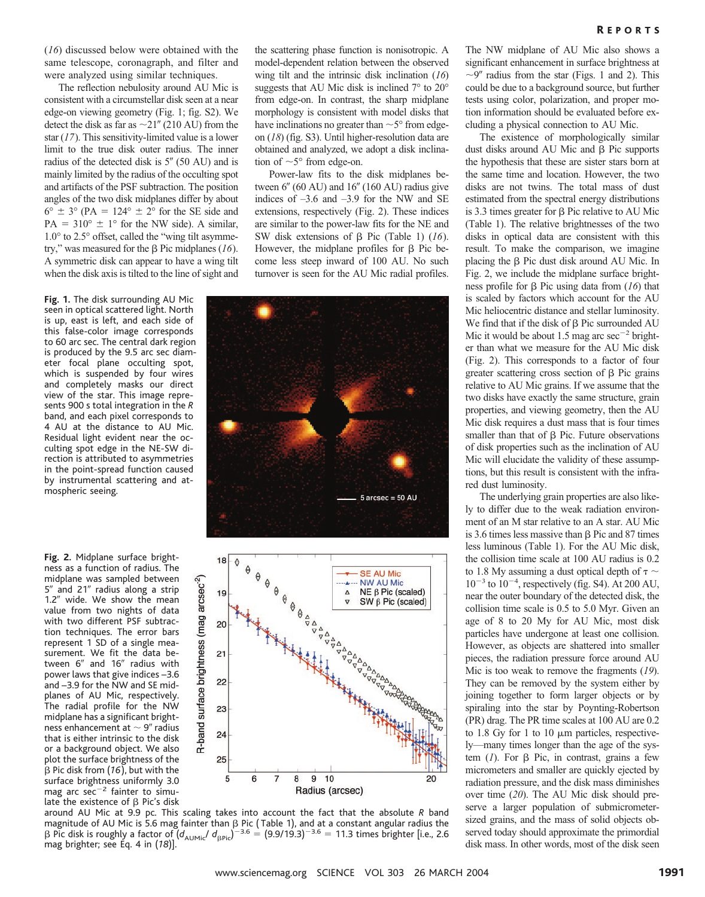The reflection nebulosity around AU Mic is consistent with a circumstellar disk seen at a near edge-on viewing geometry (Fig. 1; fig. S2). We detect the disk as far as  $\sim$  21" (210 AU) from the star (*17*). This sensitivity-limited value is a lower limit to the true disk outer radius. The inner radius of the detected disk is  $5''$  (50 AU) and is mainly limited by the radius of the occulting spot and artifacts of the PSF subtraction. The position angles of the two disk midplanes differ by about  $6^{\circ} \pm 3^{\circ}$  (PA = 124°  $\pm$  2° for the SE side and  $PA = 310^{\circ} \pm 1^{\circ}$  for the NW side). A similar, 1.0° to 2.5° offset, called the "wing tilt asymmetry," was measured for the  $\beta$  Pic midplanes (16). A symmetric disk can appear to have a wing tilt when the disk axis is tilted to the line of sight and

Fig. 1. The disk surrounding AU Mic seen in optical scattered light. North is up, east is left, and each side of this false-color image corresponds to 60 arc sec. The central dark region is produced by the 9.5 arc sec diameter focal plane occulting spot, which is suspended by four wires and completely masks our direct view of the star. This image represents 900 s total integration in the *R* band, and each pixel corresponds to 4 AU at the distance to AU Mic. Residual light evident near the occulting spot edge in the NE-SW direction is attributed to asymmetries in the point-spread function caused by instrumental scattering and atmospheric seeing.

**Fig. 2.** Midplane surface brightness as a function of radius. The midplane was sampled between 5" and 21" radius along a strip 1.2" wide. We show the mean value from two nights of data with two different PSF subtraction techniques. The error bars represent 1 SD of a single measurement. We fit the data between 6" and 16" radius with power laws that give indices –3.6 and –3.9 for the NW and SE midplanes of AU Mic, respectively. The radial profile for the NW midplane has a significant brightness enhancement at  $\sim$  9" radius that is either intrinsic to the disk or a background object. We also plot the surface brightness of the  $\beta$  Pic disk from (16), but with the surface brightness uniformly 3.0 mag arc sec $^{-2}$  fainter to simulate the existence of  $\beta$  Pic's disk

the scattering phase function is nonisotropic. A model-dependent relation between the observed wing tilt and the intrinsic disk inclination (*16*) suggests that AU Mic disk is inclined 7° to 20° from edge-on. In contrast, the sharp midplane morphology is consistent with model disks that have inclinations no greater than  $\sim$  5 $\degree$  from edgeon (*18*) (fig. S3). Until higher-resolution data are obtained and analyzed, we adopt a disk inclination of  $\sim$  5 $\degree$  from edge-on.

Power-law fits to the disk midplanes between  $6''$  (60 AU) and  $16''$  (160 AU) radius give indices of  $-3.6$  and  $-3.9$  for the NW and SE extensions, respectively (Fig. 2). These indices are similar to the power-law fits for the NE and SW disk extensions of  $\beta$  Pic (Table 1) (16). However, the midplane profiles for  $\beta$  Pic become less steep inward of 100 AU. No such turnover is seen for the AU Mic radial profiles.





around AUMic at 9.9 pc. This scaling takes into account the fact that the absolute *R* band magnitude of AU Mic is 5.6 mag fainter than  $\beta$  Pic ( Table 1), and at a constant angular radius the β Pic disk is roughly a factor of  $(d_{\text{AUMic}}/ d_{\text{BPic}})^{-3.6} = (9.9/19.3)^{-3.6} = 11.3$  times brighter [i.e., 2.6 mag brighter; see Eq. 4 in (*18*)].

The NW midplane of AU Mic also shows a significant enhancement in surface brightness at  $\sim$ 9" radius from the star (Figs. 1 and 2). This could be due to a background source, but further tests using color, polarization, and proper motion information should be evaluated before excluding a physical connection to AU Mic.

The existence of morphologically similar dust disks around AU Mic and  $\beta$  Pic supports the hypothesis that these are sister stars born at the same time and location. However, the two disks are not twins. The total mass of dust estimated from the spectral energy distributions is 3.3 times greater for  $\beta$  Pic relative to AU Mic (Table 1). The relative brightnesses of the two disks in optical data are consistent with this result. To make the comparison, we imagine placing the  $\beta$  Pic dust disk around AU Mic. In Fig. 2, we include the midplane surface brightness profile for  $\beta$  Pic using data from ( $16$ ) that is scaled by factors which account for the AU Mic heliocentric distance and stellar luminosity. We find that if the disk of  $\beta$  Pic surrounded AU Mic it would be about 1.5 mag arc  $\sec^{-2}$  brighter than what we measure for the AU Mic disk (Fig. 2). This corresponds to a factor of four greater scattering cross section of  $\beta$  Pic grains relative to AU Mic grains. If we assume that the two disks have exactly the same structure, grain properties, and viewing geometry, then the AU Mic disk requires a dust mass that is four times smaller than that of  $\beta$  Pic. Future observations of disk properties such as the inclination of AU Mic will elucidate the validity of these assumptions, but this result is consistent with the infrared dust luminosity.

The underlying grain properties are also likely to differ due to the weak radiation environment of an M star relative to an A star. AU Mic is 3.6 times less massive than  $\beta$  Pic and 87 times less luminous (Table 1). For the AU Mic disk, the collision time scale at 100 AU radius is 0.2 to 1.8 My assuming a dust optical depth of  $\tau \sim$  $10^{-3}$  to  $10^{-4}$ , respectively (fig. S4). At 200 AU, near the outer boundary of the detected disk, the collision time scale is 0.5 to 5.0 Myr. Given an age of 8 to 20 My for AU Mic, most disk particles have undergone at least one collision. However, as objects are shattered into smaller pieces, the radiation pressure force around AU Mic is too weak to remove the fragments (*19*). They can be removed by the system either by joining together to form larger objects or by spiraling into the star by Poynting-Robertson (PR) drag. The PR time scales at 100 AU are 0.2 to 1.8 Gy for 1 to 10  $\mu$ m particles, respectively—many times longer than the age of the system  $(I)$ . For  $\beta$  Pic, in contrast, grains a few micrometers and smaller are quickly ejected by radiation pressure, and the disk mass diminishes over time (*20*). The AU Mic disk should preserve a larger population of submicrometersized grains, and the mass of solid objects observed today should approximate the primordial disk mass. In other words, most of the disk seen